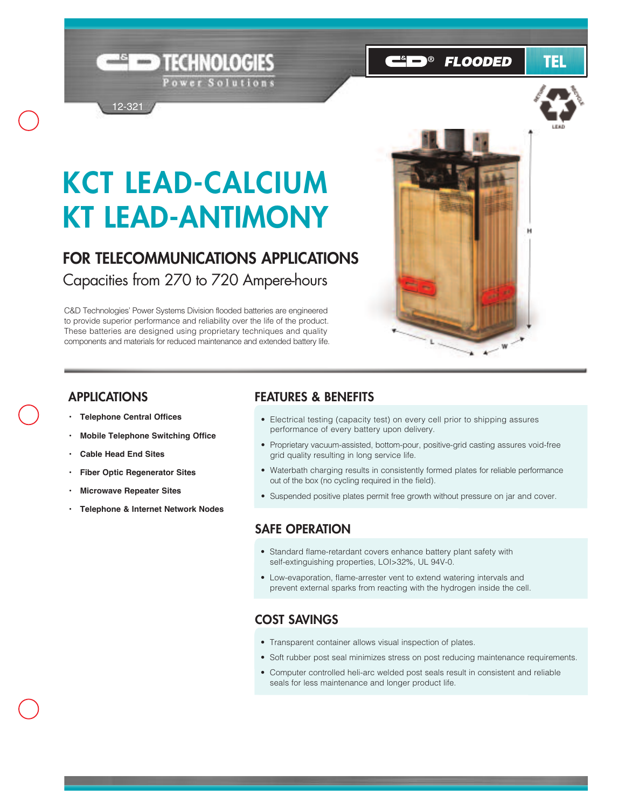# **KCT LEAD-CALCIUM KT LEAD-ANTIMONY**

TECHNOLOGIES

Power Solutions

**FOR TELECOMMUNICATIONS APPLICATIONS** Capacities from 270 to 720 Ampere-hours

C&D Technologies' Power Systems Division flooded batteries are engineered to provide superior performance and reliability over the life of the product. These batteries are designed using proprietary techniques and quality components and materials for reduced maintenance and extended battery life.



#### **APPLICATIONS**

**• Telephone Central Offices**

12-321

- **Mobile Telephone Switching Office**
- **Cable Head End Sites**
- **Fiber Optic Regenerator Sites**
- **• Microwave Repeater Sites**
- **Telephone & Internet Network Nodes**

#### **FEATURES & BENEFITS**

- Electrical testing (capacity test) on every cell prior to shipping assures performance of every battery upon delivery.
- Proprietary vacuum-assisted, bottom-pour, positive-grid casting assures void-free grid quality resulting in long service life.
- Waterbath charging results in consistently formed plates for reliable performance out of the box (no cycling required in the field).
- Suspended positive plates permit free growth without pressure on jar and cover.

#### **SAFE OPERATION**

- Standard flame-retardant covers enhance battery plant safety with self-extinguishing properties, LOI>32%, UL 94V-0.
- Low-evaporation, flame-arrester vent to extend watering intervals and prevent external sparks from reacting with the hydrogen inside the cell.

#### **COST SAVINGS**

- Transparent container allows visual inspection of plates.
- Soft rubber post seal minimizes stress on post reducing maintenance requirements.
- Computer controlled heli-arc welded post seals result in consistent and reliable seals for less maintenance and longer product life.

**B FLOODED** 

TEL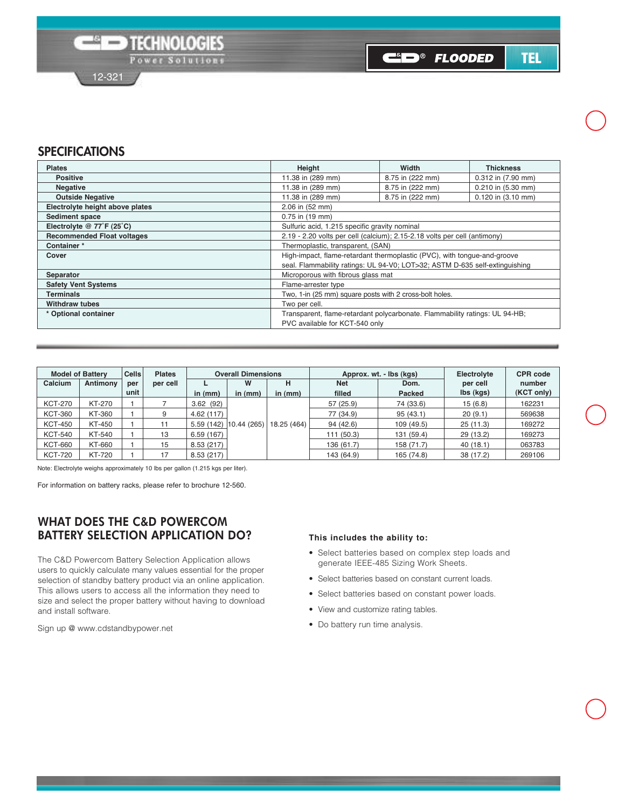**C**ip® Flooded

TEL

### **SPECIFICATIONS**

| <b>Plates</b>                     | Height                                                                      | Width            | <b>Thickness</b>   |  |  |  |  |  |
|-----------------------------------|-----------------------------------------------------------------------------|------------------|--------------------|--|--|--|--|--|
| <b>Positive</b>                   | 11.38 in (289 mm)                                                           | 8.75 in (222 mm) | 0.312 in (7.90 mm) |  |  |  |  |  |
| <b>Negative</b>                   | 11.38 in (289 mm)                                                           | 8.75 in (222 mm) | 0.210 in (5.30 mm) |  |  |  |  |  |
| <b>Outside Negative</b>           | 11.38 in (289 mm)                                                           | 8.75 in (222 mm) | 0.120 in (3.10 mm) |  |  |  |  |  |
| Electrolyte height above plates   | 2.06 in (52 mm)                                                             |                  |                    |  |  |  |  |  |
| <b>Sediment space</b>             | 0.75 in (19 mm)                                                             |                  |                    |  |  |  |  |  |
| Electrolyte @ 77°F (25°C)         | Sulfuric acid, 1.215 specific gravity nominal                               |                  |                    |  |  |  |  |  |
| <b>Recommended Float voltages</b> | 2.19 - 2.20 volts per cell (calcium); 2.15-2.18 volts per cell (antimony)   |                  |                    |  |  |  |  |  |
| Container*                        | Thermoplastic, transparent, (SAN)                                           |                  |                    |  |  |  |  |  |
| Cover                             | High-impact, flame-retardant thermoplastic (PVC), with tonque-and-groove    |                  |                    |  |  |  |  |  |
|                                   | seal. Flammability ratings: UL 94-V0; LOT>32; ASTM D-635 self-extinguishing |                  |                    |  |  |  |  |  |
| Separator                         | Microporous with fibrous glass mat                                          |                  |                    |  |  |  |  |  |
| <b>Safety Vent Systems</b>        | Flame-arrester type                                                         |                  |                    |  |  |  |  |  |
| <b>Terminals</b>                  | Two, 1-in (25 mm) square posts with 2 cross-bolt holes.                     |                  |                    |  |  |  |  |  |
| <b>Withdraw tubes</b>             | Two per cell.                                                               |                  |                    |  |  |  |  |  |
| * Optional container              | Transparent, flame-retardant polycarbonate. Flammability ratings: UL 94-HB; |                  |                    |  |  |  |  |  |
|                                   | PVC available for KCT-540 only                                              |                  |                    |  |  |  |  |  |

| <b>Model of Battery</b> |               | <b>Cells</b> | <b>Plates</b> |           | <b>Overall Dimensions</b> |             |            | Approx. wt. - lbs (kgs) | Electrolyte | <b>CPR</b> code |
|-------------------------|---------------|--------------|---------------|-----------|---------------------------|-------------|------------|-------------------------|-------------|-----------------|
| Calcium                 | Antimony      | per          | per cell      |           | W                         |             | <b>Net</b> | Dom.                    | per cell    | number          |
|                         |               | unit         |               | in (mm)   | in $(mm)$                 | in $(mm)$   | filled     | Packed                  | lbs (kgs)   | (KCT only)      |
| <b>KCT-270</b>          | KT-270        |              |               | 3.62(92)  |                           |             | 57 (25.9)  | 74 (33.6)               | 15(6.8)     | 162231          |
| <b>KCT-360</b>          | KT-360        |              | 9             | 4.62(117) |                           |             | 77 (34.9)  | 95(43.1)                | 20(9.1)     | 569638          |
| <b>KCT-450</b>          | <b>KT-450</b> |              |               | 5.59(142) | 10.44(265)                | 18.25 (464) | 94 (42.6)  | 109 (49.5)              | 25(11.3)    | 169272          |
| <b>KCT-540</b>          | KT-540        |              | 13            | 6.59(167) |                           |             | 111(50.3)  | 131 (59.4)              | 29(13.2)    | 169273          |
| <b>KCT-660</b>          | KT-660        |              | 15            | 8.53(217) |                           |             | 136 (61.7) | 158 (71.7)              | 40(18.1)    | 063783          |
| <b>KCT-720</b>          | <b>KT-720</b> |              | 17            | 8.53(217) |                           |             | 143 (64.9) | 165 (74.8)              | 38 (17.2)   | 269106          |

Note: Electrolyte weighs approximately 10 lbs per gallon (1.215 kgs per liter).

For information on battery racks, please refer to brochure 12-560.

#### **WHAT DOES THE C&D POWERCOM BATTERY SELECTION APPLICATION DO?**

The C&D Powercom Battery Selection Application allows users to quickly calculate many values essential for the proper selection of standby battery product via an online application. This allows users to access all the information they need to size and select the proper battery without having to download and install software.

Sign up @ www.cdstandbypower.net

#### **This includes the ability to:**

- Select batteries based on complex step loads and generate IEEE-485 Sizing Work Sheets.
- Select batteries based on constant current loads.
- Select batteries based on constant power loads.
- View and customize rating tables.
- Do battery run time analysis.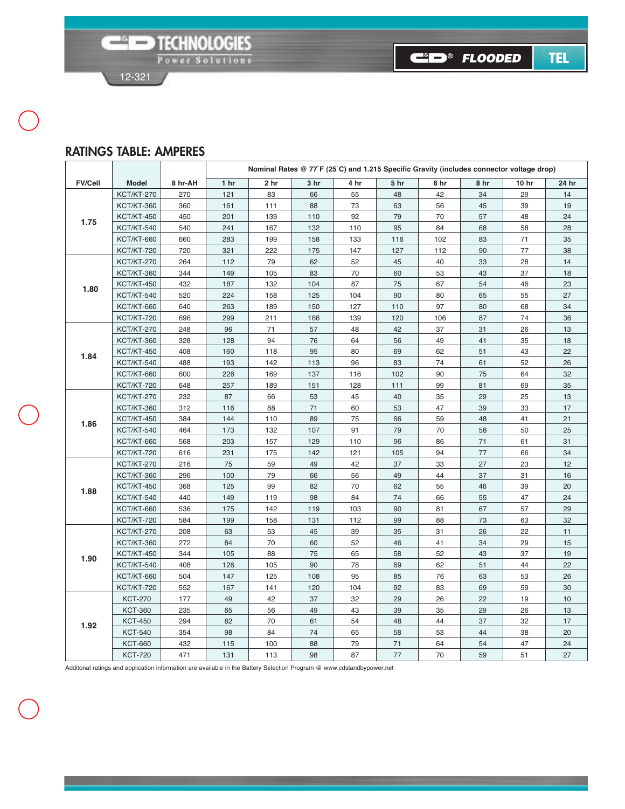C&D® FLOODED

**TEL** 



#### **RATINGS TABLE: AMPERES**

|                |                   | Nominal Rates @ 77°F (25°C) and 1.215 Specific Gravity (includes connector voltage drop) |                 |                 |      |      |                 |      |      |       |       |
|----------------|-------------------|------------------------------------------------------------------------------------------|-----------------|-----------------|------|------|-----------------|------|------|-------|-------|
| <b>FV/Cell</b> | <b>Model</b>      | 8 hr-AH                                                                                  | 1 <sub>hr</sub> | 2 <sub>hr</sub> | 3 hr | 4 hr | 5 <sub>hr</sub> | 6 hr | 8 hr | 10 hr | 24 hr |
|                | <b>KCT/KT-270</b> | 270                                                                                      | 121             | 83              | 66   | 55   | 48              | 42   | 34   | 29    | 14    |
| 1.75           | <b>KCT/KT-360</b> | 360                                                                                      | 161             | 111             | 88   | 73   | 63              | 56   | 45   | 39    | 19    |
|                | <b>KCT/KT-450</b> | 450                                                                                      | 201             | 139             | 110  | 92   | 79              | 70   | 57   | 48    | 24    |
|                | <b>KCT/KT-540</b> | 540                                                                                      | 241             | 167             | 132  | 110  | 95              | 84   | 68   | 58    | 28    |
|                | <b>KCT/KT-660</b> | 660                                                                                      | 283             | 199             | 158  | 133  | 116             | 102  | 83   | 71    | 35    |
|                | <b>KCT/KT-720</b> | 720                                                                                      | 321             | 222             | 175  | 147  | 127             | 112  | 90   | 77    | 38    |
|                | <b>KCT/KT-270</b> | 264                                                                                      | 112             | 79              | 62   | 52   | 45              | 40   | 33   | 28    | 14    |
|                | <b>KCT/KT-360</b> | 344                                                                                      | 149             | 105             | 83   | 70   | 60              | 53   | 43   | 37    | 18    |
| 1.80           | <b>KCT/KT-450</b> | 432                                                                                      | 187             | 132             | 104  | 87   | 75              | 67   | 54   | 46    | 23    |
|                | <b>KCT/KT-540</b> | 520                                                                                      | 224             | 158             | 125  | 104  | 90              | 80   | 65   | 55    | 27    |
|                | <b>KCT/KT-660</b> | 640                                                                                      | 263             | 189             | 150  | 127  | 110             | 97   | 80   | 68    | 34    |
|                | <b>KCT/KT-720</b> | 696                                                                                      | 299             | 211             | 166  | 139  | 120             | 106  | 87   | 74    | 36    |
|                | <b>KCT/KT-270</b> | 248                                                                                      | 96              | 71              | 57   | 48   | 42              | 37   | 31   | 26    | 13    |
|                | <b>KCT/KT-360</b> | 328                                                                                      | 128             | 94              | 76   | 64   | 56              | 49   | 41   | 35    | 18    |
| 1.84           | <b>KCT/KT-450</b> | 408                                                                                      | 160             | 118             | 95   | 80   | 69              | 62   | 51   | 43    | 22    |
|                | <b>KCT/KT-540</b> | 488                                                                                      | 193             | 142             | 113  | 96   | 83              | 74   | 61   | 52    | 26    |
|                | <b>KCT/KT-660</b> | 600                                                                                      | 226             | 169             | 137  | 116  | 102             | 90   | 75   | 64    | 32    |
|                | <b>KCT/KT-720</b> | 648                                                                                      | 257             | 189             | 151  | 128  | 111             | 99   | 81   | 69    | 35    |
|                | <b>KCT/KT-270</b> | 232                                                                                      | 87              | 66              | 53   | 45   | 40              | 35   | 29   | 25    | 13    |
| 1.86           | <b>KCT/KT-360</b> | 312                                                                                      | 116             | 88              | 71   | 60   | 53              | 47   | 39   | 33    | 17    |
|                | <b>KCT/KT-450</b> | 384                                                                                      | 144             | 110             | 89   | 75   | 66              | 59   | 48   | 41    | 21    |
|                | <b>KCT/KT-540</b> | 464                                                                                      | 173             | 132             | 107  | 91   | 79              | 70   | 58   | 50    | 25    |
|                | <b>KCT/KT-660</b> | 568                                                                                      | 203             | 157             | 129  | 110  | 96              | 86   | 71   | 61    | 31    |
|                | <b>KCT/KT-720</b> | 616                                                                                      | 231             | 175             | 142  | 121  | 105             | 94   | 77   | 66    | 34    |
| 1.88           | <b>KCT/KT-270</b> | 216                                                                                      | 75              | 59              | 49   | 42   | 37              | 33   | 27   | 23    | 12    |
|                | <b>KCT/KT-360</b> | 296                                                                                      | 100             | 79              | 66   | 56   | 49              | 44   | 37   | 31    | 16    |
|                | <b>KCT/KT-450</b> | 368                                                                                      | 125             | 99              | 82   | 70   | 62              | 55   | 46   | 39    | 20    |
|                | <b>KCT/KT-540</b> | 440                                                                                      | 149             | 119             | 98   | 84   | 74              | 66   | 55   | 47    | 24    |
|                | <b>KCT/KT-660</b> | 536                                                                                      | 175             | 142             | 119  | 103  | 90              | 81   | 67   | 57    | 29    |
|                | <b>KCT/KT-720</b> | 584                                                                                      | 199             | 158             | 131  | 112  | 99              | 88   | 73   | 63    | 32    |
|                | <b>KCT/KT-270</b> | 208                                                                                      | 63              | 53              | 45   | 39   | 35              | 31   | 26   | 22    | 11    |
|                | <b>KCT/KT-360</b> | 272                                                                                      | 84              | 70              | 60   | 52   | 46              | 41   | 34   | 29    | 15    |
| 1.90           | <b>KCT/KT-450</b> | 344                                                                                      | 105             | 88              | 75   | 65   | 58              | 52   | 43   | 37    | 19    |
|                | <b>KCT/KT-540</b> | 408                                                                                      | 126             | 105             | 90   | 78   | 69              | 62   | 51   | 44    | 22    |
|                | <b>KCT/KT-660</b> | 504                                                                                      | 147             | 125             | 108  | 95   | 85              | 76   | 63   | 53    | 26    |
|                | <b>KCT/KT-720</b> | 552                                                                                      | 167             | 141             | 120  | 104  | 92              | 83   | 69   | 59    | 30    |
|                | <b>KCT-270</b>    | 177                                                                                      | 49              | 42              | 37   | 32   | 29              | 26   | 22   | 19    | 10    |
|                | <b>KCT-360</b>    | 235                                                                                      | 65              | 56              | 49   | 43   | 39              | 35   | 29   | 26    | 13    |
| 1.92           | <b>KCT-450</b>    | 294                                                                                      | 82              | 70              | 61   | 54   | 48              | 44   | 37   | 32    | 17    |
|                | <b>KCT-540</b>    | 354                                                                                      | 98              | 84              | 74   | 65   | 58              | 53   | 44   | 38    | 20    |
|                | <b>KCT-660</b>    | 432                                                                                      | 115             | 100             | 88   | 79   | $71$            | 64   | 54   | 47    | 24    |
|                | <b>KCT-720</b>    | 471                                                                                      | 131             | 113             | 98   | 87   | 77              | 70   | 59   | 51    | 27    |

Additonal ratings and application information are available in the Battery Selection Program @ www.cdstandbypower.net